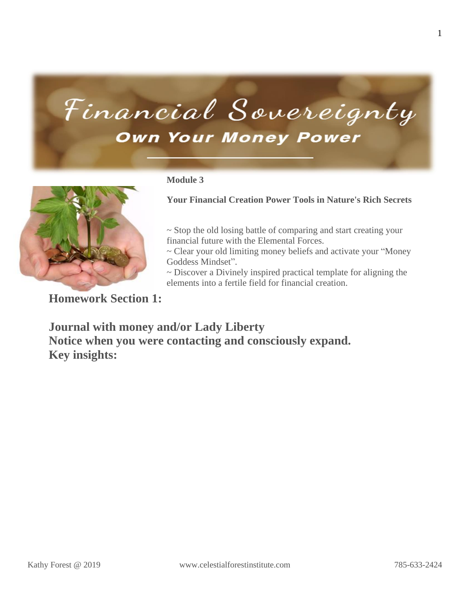## Financial Sovereignty **Own Your Money Power**



#### **Module 3**

**Your Financial Creation Power Tools in Nature's Rich Secrets**

~ Stop the old losing battle of comparing and start creating your financial future with the Elemental Forces.

~ Clear your old limiting money beliefs and activate your "Money Goddess Mindset".

~ Discover a Divinely inspired practical template for aligning the elements into a fertile field for financial creation.

**Homework Section 1:**

**Journal with money and/or Lady Liberty Notice when you were contacting and consciously expand. Key insights:**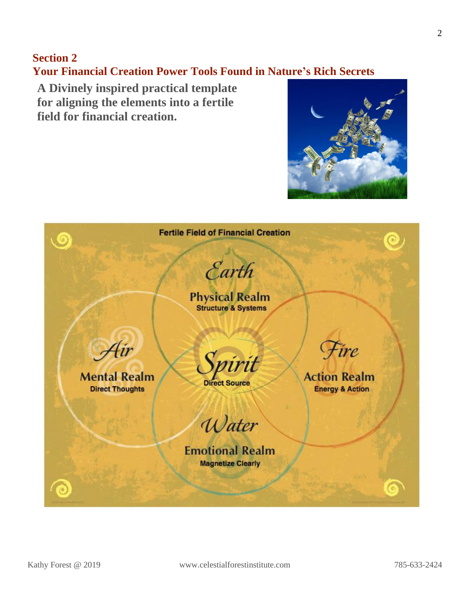#### **Section 2**

**Your Financial Creation Power Tools Found in Nature's Rich Secrets**

**A Divinely inspired practical template for aligning the elements into a fertile field for financial creation.**



| $\odot$                                              | <b>Fertile Field of Financial Creation</b><br>Earth         | $\textcolor{red}{\bullet}$                                |
|------------------------------------------------------|-------------------------------------------------------------|-----------------------------------------------------------|
|                                                      | <b>Physical Realm</b><br>Structure & Systems                |                                                           |
| Air<br><b>Mental Realm</b><br><b>Direct Thoughts</b> | Spirit                                                      | Fire<br><b>Action Realm</b><br><b>Energy &amp; Action</b> |
|                                                      | Water<br><b>Emotional Realm</b><br><b>Magnetize Clearly</b> |                                                           |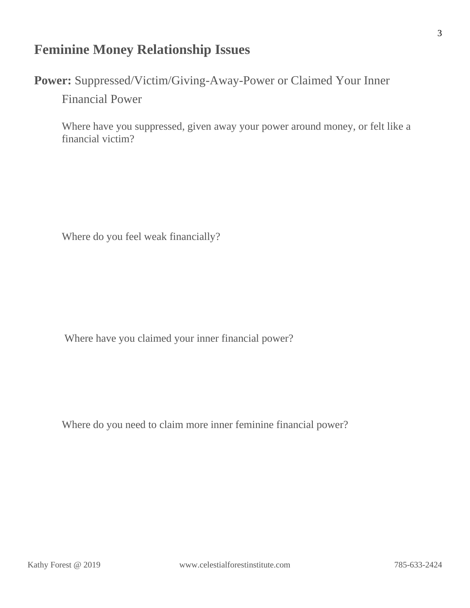#### **Feminine Money Relationship Issues**

**Power:** Suppressed/Victim/Giving-Away-Power or Claimed Your Inner

Financial Power

Where have you suppressed, given away your power around money, or felt like a financial victim?

Where do you feel weak financially?

Where have you claimed your inner financial power?

Where do you need to claim more inner feminine financial power?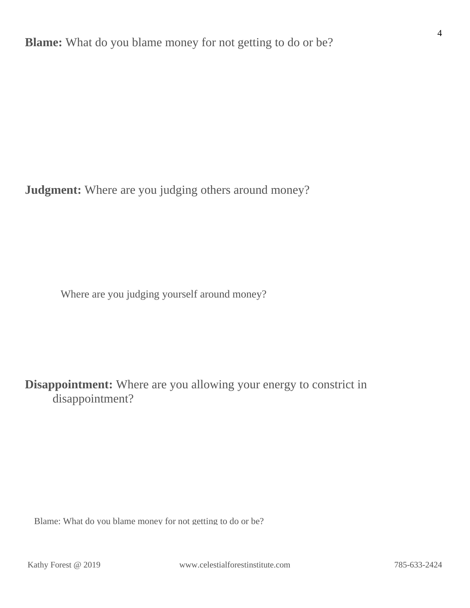**Judgment:** Where are you judging others around money?

Where are you judging yourself around money?

**Disappointment:** Where are you allowing your energy to constrict in disappointment?

Blame: What do you blame money for not getting to do or be?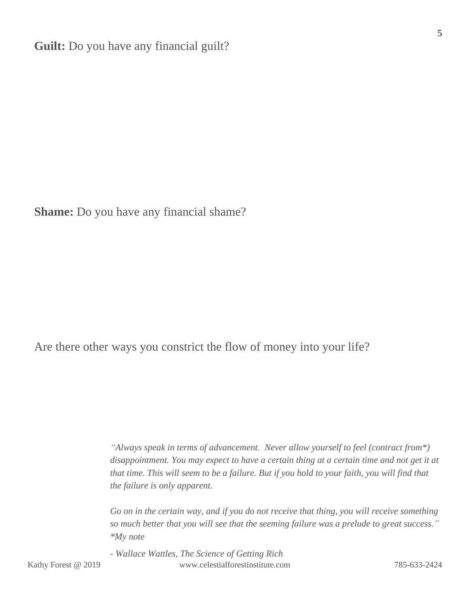**Shame:** Do you have any financial shame?

Are there other ways you constrict the flow of money into your life?

*"Always speak in terms of advancement. Never allow yourself to feel (contract from\*) disappointment. You may expect to have a certain thing at a certain time and not get it at* that time. This will seem to be a failure. But if you hold to your faith, you will find that *the failure is only apparent.*

*Go on in the certain way, and if you do not receive that thing, you will receive something so much better that you will see that the seeming failure was a prelude to great success." \*My note*

Kathy Forest @ 2019 www.celestialforestinstitute.com 785-633-2424 *- Wallace Wattles, The Science of Getting Rich*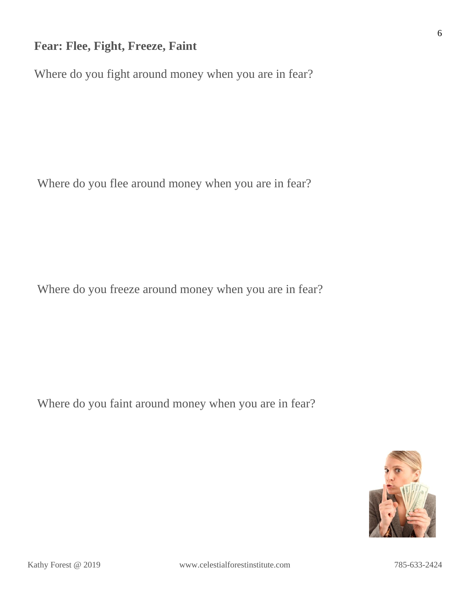#### **Fear: Flee, Fight, Freeze, Faint**

Where do you fight around money when you are in fear?

Where do you flee around money when you are in fear?

Where do you freeze around money when you are in fear?

Where do you faint around money when you are in fear?

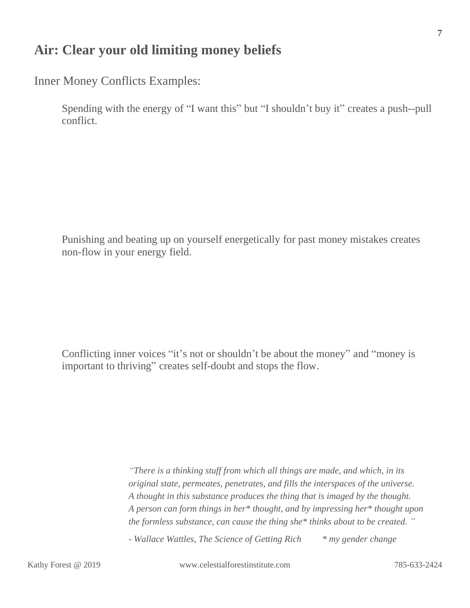#### **Air: Clear your old limiting money beliefs**

Inner Money Conflicts Examples:

Spending with the energy of "I want this" but "I shouldn't buy it" creates a push--pull conflict.

Punishing and beating up on yourself energetically for past money mistakes creates non-flow in your energy field.

Conflicting inner voices "it's not or shouldn't be about the money" and "money is important to thriving" creates self-doubt and stops the flow.

> *"There is a thinking stuff from which all things are made, and which, in its original state, permeates, penetrates, and fills the interspaces of the universe. A thought in this substance produces the thing that is imaged by the thought. A person can form things in her\* thought, and by impressing her\* thought upon the formless substance, can cause the thing she\* thinks about to be created. "*

*- Wallace Wattles, The Science of Getting Rich \* my gender change*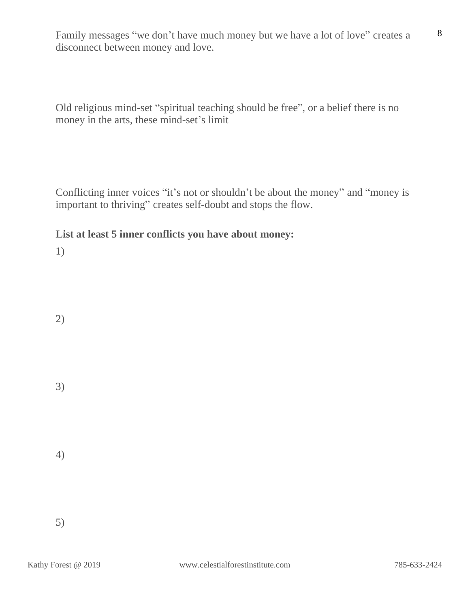Family messages "we don't have much money but we have a lot of love" creates a disconnect between money and love.

Old religious mind-set "spiritual teaching should be free", or a belief there is no money in the arts, these mind-set's limit

Conflicting inner voices "it's not or shouldn't be about the money" and "money is important to thriving" creates self-doubt and stops the flow.

#### **List at least 5 inner conflicts you have about money:**

1)

2)

3)

4)

5)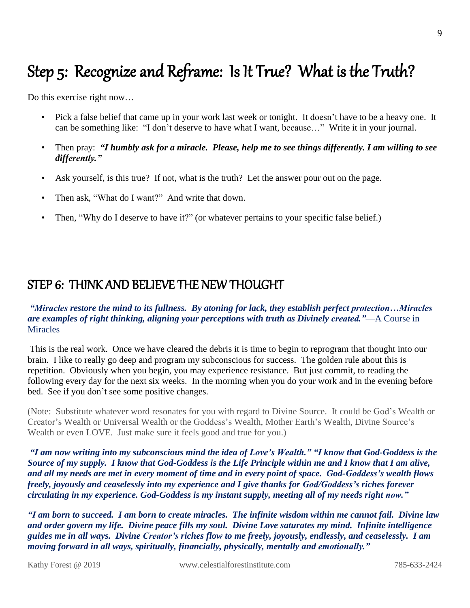### Step 5: Recognize and Reframe: Is It True? What is the Truth?

Do this exercise right now…

- Pick a false belief that came up in your work last week or tonight. It doesn't have to be a heavy one. It can be something like: "I don't deserve to have what I want, because…" Write it in your journal.
- Then pray: *"I humbly ask for a miracle. Please, help me to see things differently. I am willing to see differently."*
- Ask yourself, is this true? If not, what is the truth? Let the answer pour out on the page.
- Then ask, "What do I want?" And write that down.
- Then, "Why do I deserve to have it?" (or whatever pertains to your specific false belief.)

#### STEP 6: THINK AND BELIEVE THE NEW THOUGHT

#### *"Miracles restore the mind to its fullness. By atoning for lack, they establish perfect protection…Miracles are examples of right thinking, aligning your perceptions with truth as Divinely created."*—A Course in **Miracles**

This is the real work. Once we have cleared the debris it is time to begin to reprogram that thought into our brain. I like to really go deep and program my subconscious for success. The golden rule about this is repetition. Obviously when you begin, you may experience resistance. But just commit, to reading the following every day for the next six weeks. In the morning when you do your work and in the evening before bed. See if you don't see some positive changes.

(Note: Substitute whatever word resonates for you with regard to Divine Source. It could be God's Wealth or Creator's Wealth or Universal Wealth or the Goddess's Wealth, Mother Earth's Wealth, Divine Source's Wealth or even LOVE. Just make sure it feels good and true for you.)

"I am now writing into my subconscious mind the idea of Love's Wealth." "I know that God-Goddess is the Source of my supply. I know that God-Goddess is the Life Principle within me and I know that I am alive, and all my needs are met in every moment of time and in every point of space. God-Goddess's wealth flows *freely, joyously and ceaselessly into my experience and I give thanks for God/Goddess's riches forever circulating in my experience. God-Goddess is my instant supply, meeting all of my needs right now."*

"I am born to succeed. I am born to create miracles. The infinite wisdom within me cannot fail. Divine law *and order govern my life. Divine peace fills my soul. Divine Love saturates my mind. Infinite intelligence guides me in all ways. Divine Creator's riches flow to me freely, joyously, endlessly, and ceaselessly. I am moving forward in all ways, spiritually, financially, physically, mentally and emotionally."*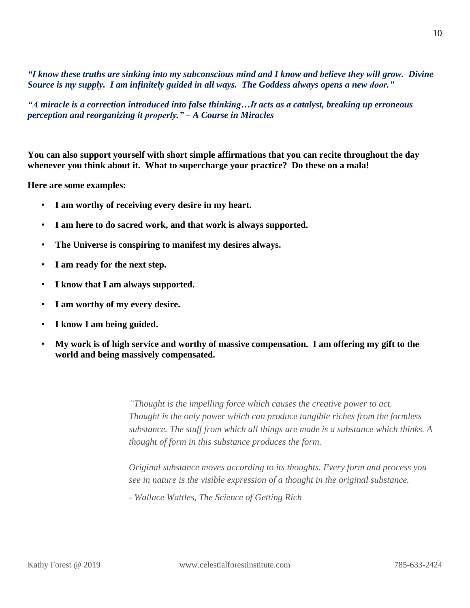"I know these truths are sinking into my subconscious mind and I know and believe they will grow. Divine *Source is my supply. I am infinitely guided in all ways. The Goddess always opens a new door."*

*"A miracle is a correction introduced into false thinking…It acts as a catalyst, breaking up erroneous perception and reorganizing it properly." – A Course in Miracles*

**You can also support yourself with short simple affirmations that you can recite throughout the day whenever you think about it. What to supercharge your practice? Do these on a mala!**

**Here are some examples:**

- **I am worthy of receiving every desire in my heart.**
- **I am here to do sacred work, and that work is always supported.**
- **The Universe is conspiring to manifest my desires always.**
- **I am ready for the next step.**
- **I know that I am always supported.**
- **I am worthy of my every desire.**
- **I know I am being guided.**
- **My work is of high service and worthy of massive compensation. I am offering my gift to the world and being massively compensated.**

*"Thought is the impelling force which causes the creative power to act. Thought is the only power which can produce tangible riches from the formless substance. The stuff from which all things are made is a substance which thinks. A thought of form in this substance produces the form.*

*Original substance moves according to its thoughts. Every form and process you see in nature is the visible expression of a thought in the original substance.*

*- Wallace Wattles, The Science of Getting Rich*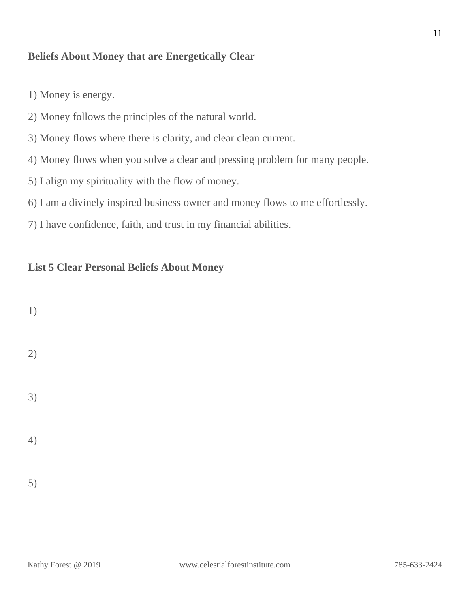#### **Beliefs About Money that are Energetically Clear**

- 1) Money is energy.
- 2) Money follows the principles of the natural world.
- 3) Money flows where there is clarity, and clear clean current.
- 4) Money flows when you solve a clear and pressing problem for many people.
- 5) I align my spirituality with the flow of money.
- 6) I am a divinely inspired business owner and money flows to me effortlessly.
- 7) I have confidence, faith, and trust in my financial abilities.

#### **List 5 Clear Personal Beliefs About Money**

| 1)                           |  |  |
|------------------------------|--|--|
| $\left( \frac{1}{2} \right)$ |  |  |
| 3)                           |  |  |
| 4)                           |  |  |
| 5)                           |  |  |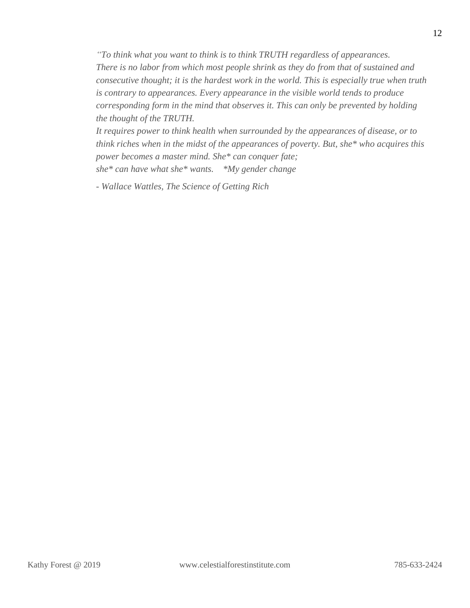*"To think what you want to think is to think TRUTH regardless of appearances. There is no labor from which most people shrink as they do from that of sustained and consecutive thought; it is the hardest work in the world. This is especially true when truth is contrary to appearances. Every appearance in the visible world tends to produce corresponding form in the mind that observes it. This can only be prevented by holding the thought of the TRUTH.*

*It requires power to think health when surrounded by the appearances of disease, or to think riches when in the midst of the appearances of poverty. But, she\* who acquires this power becomes a master mind. She\* can conquer fate; she\* can have what she\* wants. \*My gender change*

*- Wallace Wattles, The Science of Getting Rich*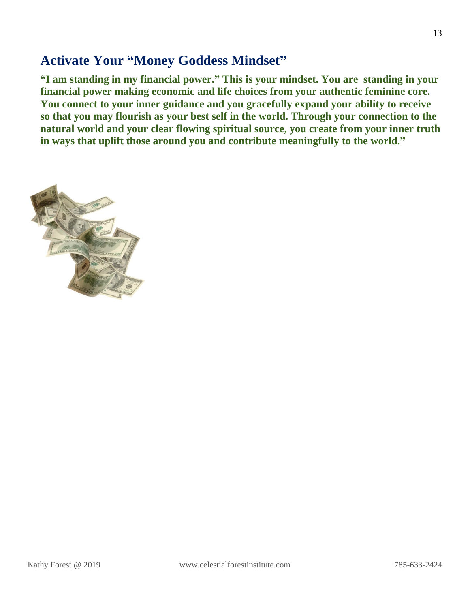#### **Activate Your "Money Goddess Mindset"**

**"I am standing in my financial power." This is your mindset. You are standing in your financial power making economic and life choices from your authentic feminine core. You connect to your inner guidance and you gracefully expand your ability to receive so that you may flourish as your best self in the world. Through your connection to the natural world and your clear flowing spiritual source, you create from your inner truth in ways that uplift those around you and contribute meaningfully to the world."**

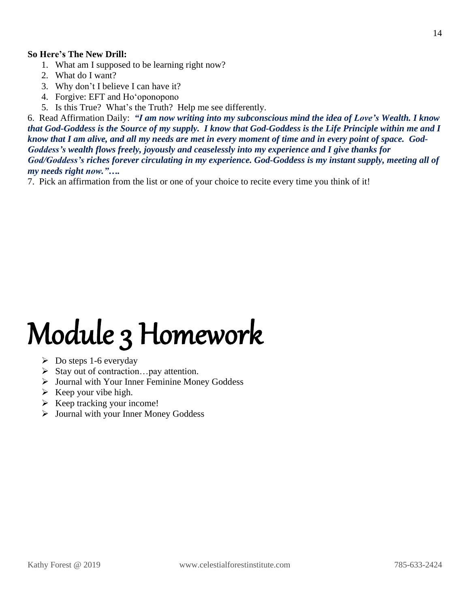#### **So Here's The New Drill:**

- 1. What am I supposed to be learning right now?
- 2. What do I want?
- 3. Why don't I believe I can have it?
- 4. Forgive: EFT and Hoʻoponopono
- 5. Is this True? What's the Truth? Help me see differently.

6. Read Affirmation Daily: *"I am now writing into my subconscious mind the idea of Love's Wealth. I know* that God-Goddess is the Source of my supply. I know that God-Goddess is the Life Principle within me and I know that I am alive, and all my needs are met in every moment of time and in every point of space. God-*Goddess's wealth flows freely, joyously and ceaselessly into my experience and I give thanks for God/Goddess's riches forever circulating in my experience. God-Goddess is my instant supply, meeting all of my needs right now."….*

7. Pick an affirmation from the list or one of your choice to recite every time you think of it!

# Module 3 Homework

- $\triangleright$  Do steps 1-6 everyday
- ➢ Stay out of contraction…pay attention.
- ➢ Journal with Your Inner Feminine Money Goddess
- $\triangleright$  Keep your vibe high.
- $\triangleright$  Keep tracking your income!
- ➢ Journal with your Inner Money Goddess